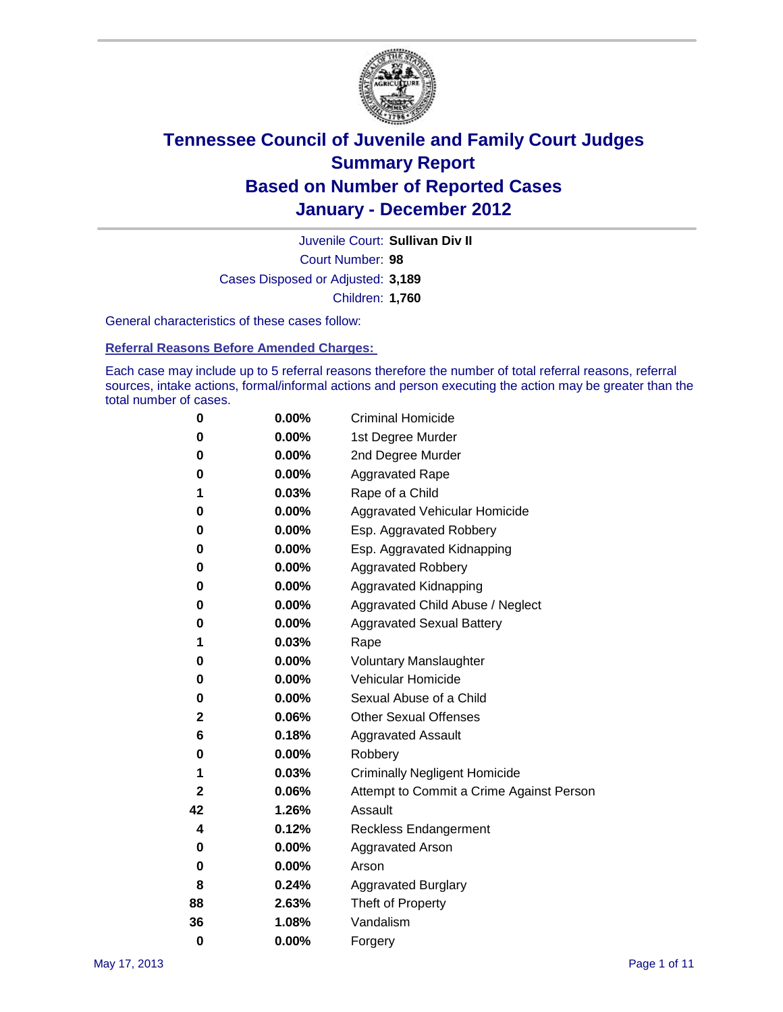

Court Number: **98** Juvenile Court: **Sullivan Div II** Cases Disposed or Adjusted: **3,189** Children: **1,760**

General characteristics of these cases follow:

**Referral Reasons Before Amended Charges:** 

Each case may include up to 5 referral reasons therefore the number of total referral reasons, referral sources, intake actions, formal/informal actions and person executing the action may be greater than the total number of cases.

| 0  | 0.00%    | <b>Criminal Homicide</b>                 |
|----|----------|------------------------------------------|
| 0  | 0.00%    | 1st Degree Murder                        |
| 0  | 0.00%    | 2nd Degree Murder                        |
| 0  | 0.00%    | <b>Aggravated Rape</b>                   |
| 1  | 0.03%    | Rape of a Child                          |
| 0  | 0.00%    | Aggravated Vehicular Homicide            |
| 0  | 0.00%    | Esp. Aggravated Robbery                  |
| 0  | 0.00%    | Esp. Aggravated Kidnapping               |
| 0  | 0.00%    | <b>Aggravated Robbery</b>                |
| 0  | 0.00%    | Aggravated Kidnapping                    |
| 0  | 0.00%    | Aggravated Child Abuse / Neglect         |
| 0  | $0.00\%$ | <b>Aggravated Sexual Battery</b>         |
| 1  | 0.03%    | Rape                                     |
| 0  | $0.00\%$ | <b>Voluntary Manslaughter</b>            |
| 0  | 0.00%    | Vehicular Homicide                       |
| 0  | 0.00%    | Sexual Abuse of a Child                  |
| 2  | 0.06%    | <b>Other Sexual Offenses</b>             |
| 6  | 0.18%    | <b>Aggravated Assault</b>                |
| 0  | $0.00\%$ | Robbery                                  |
| 1  | 0.03%    | <b>Criminally Negligent Homicide</b>     |
| 2  | 0.06%    | Attempt to Commit a Crime Against Person |
| 42 | 1.26%    | Assault                                  |
| 4  | 0.12%    | <b>Reckless Endangerment</b>             |
| 0  | 0.00%    | <b>Aggravated Arson</b>                  |
| 0  | 0.00%    | Arson                                    |
| 8  | 0.24%    | <b>Aggravated Burglary</b>               |
| 88 | 2.63%    | Theft of Property                        |
| 36 | 1.08%    | Vandalism                                |
| 0  | 0.00%    | Forgery                                  |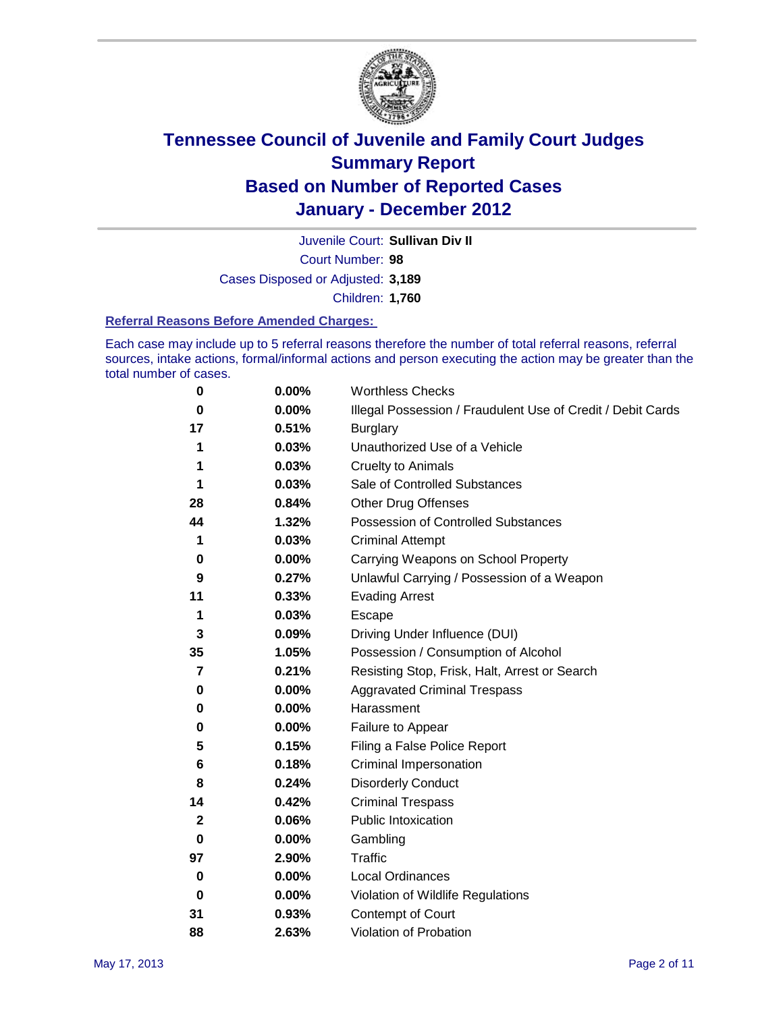

Juvenile Court: **Sullivan Div II**

Court Number: **98**

Cases Disposed or Adjusted: **3,189**

Children: **1,760**

#### **Referral Reasons Before Amended Charges:**

Each case may include up to 5 referral reasons therefore the number of total referral reasons, referral sources, intake actions, formal/informal actions and person executing the action may be greater than the total number of cases.

| 0  | 0.00% | <b>Worthless Checks</b>                                     |
|----|-------|-------------------------------------------------------------|
| 0  | 0.00% | Illegal Possession / Fraudulent Use of Credit / Debit Cards |
| 17 | 0.51% | <b>Burglary</b>                                             |
| 1  | 0.03% | Unauthorized Use of a Vehicle                               |
| 1  | 0.03% | <b>Cruelty to Animals</b>                                   |
| 1  | 0.03% | Sale of Controlled Substances                               |
| 28 | 0.84% | <b>Other Drug Offenses</b>                                  |
| 44 | 1.32% | Possession of Controlled Substances                         |
| 1  | 0.03% | <b>Criminal Attempt</b>                                     |
| 0  | 0.00% | Carrying Weapons on School Property                         |
| 9  | 0.27% | Unlawful Carrying / Possession of a Weapon                  |
| 11 | 0.33% | <b>Evading Arrest</b>                                       |
| 1  | 0.03% | Escape                                                      |
| 3  | 0.09% | Driving Under Influence (DUI)                               |
| 35 | 1.05% | Possession / Consumption of Alcohol                         |
| 7  | 0.21% | Resisting Stop, Frisk, Halt, Arrest or Search               |
| 0  | 0.00% | <b>Aggravated Criminal Trespass</b>                         |
| 0  | 0.00% | Harassment                                                  |
| 0  | 0.00% | Failure to Appear                                           |
| 5  | 0.15% | Filing a False Police Report                                |
| 6  | 0.18% | Criminal Impersonation                                      |
| 8  | 0.24% | <b>Disorderly Conduct</b>                                   |
| 14 | 0.42% | <b>Criminal Trespass</b>                                    |
| 2  | 0.06% | <b>Public Intoxication</b>                                  |
| 0  | 0.00% | Gambling                                                    |
| 97 | 2.90% | <b>Traffic</b>                                              |
| 0  | 0.00% | <b>Local Ordinances</b>                                     |
| 0  | 0.00% | Violation of Wildlife Regulations                           |
| 31 | 0.93% | Contempt of Court                                           |
| 88 | 2.63% | Violation of Probation                                      |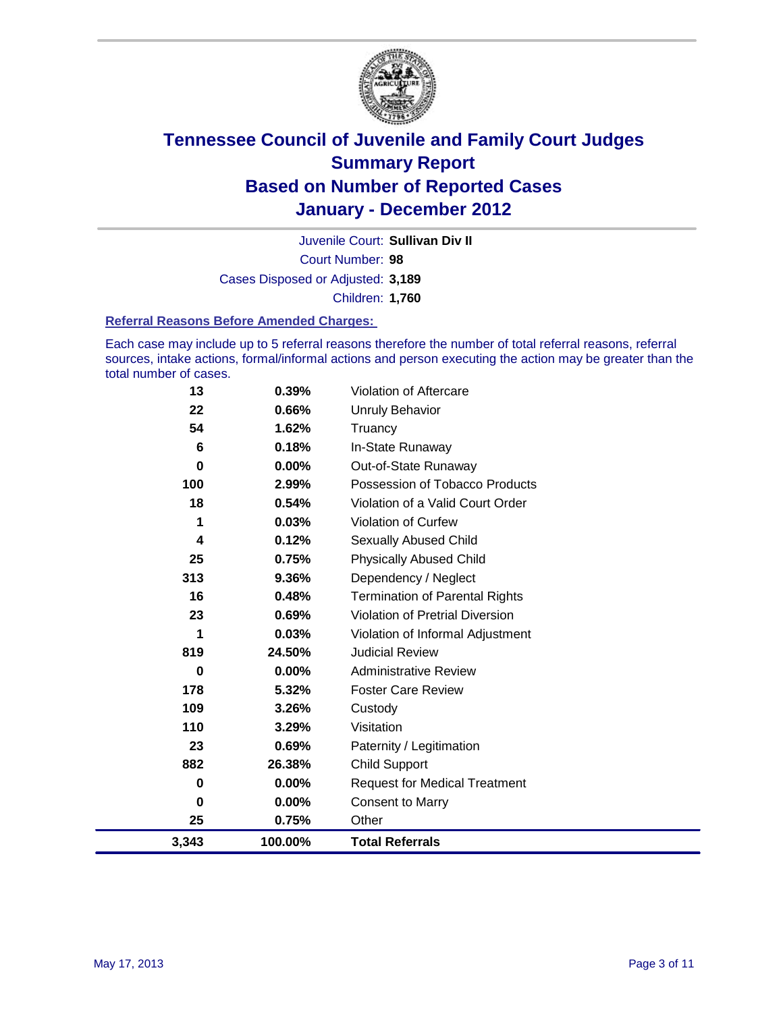

Court Number: **98** Juvenile Court: **Sullivan Div II** Cases Disposed or Adjusted: **3,189** Children: **1,760**

#### **Referral Reasons Before Amended Charges:**

Each case may include up to 5 referral reasons therefore the number of total referral reasons, referral sources, intake actions, formal/informal actions and person executing the action may be greater than the total number of cases.

| 13    | 0.39%    | Violation of Aftercare                 |
|-------|----------|----------------------------------------|
| 22    | 0.66%    | <b>Unruly Behavior</b>                 |
| 54    | 1.62%    | Truancy                                |
| 6     | 0.18%    | In-State Runaway                       |
| 0     | 0.00%    | Out-of-State Runaway                   |
| 100   | 2.99%    | Possession of Tobacco Products         |
| 18    | 0.54%    | Violation of a Valid Court Order       |
| 1     | 0.03%    | <b>Violation of Curfew</b>             |
| 4     | 0.12%    | Sexually Abused Child                  |
| 25    | 0.75%    | <b>Physically Abused Child</b>         |
| 313   | 9.36%    | Dependency / Neglect                   |
| 16    | 0.48%    | <b>Termination of Parental Rights</b>  |
| 23    | 0.69%    | <b>Violation of Pretrial Diversion</b> |
| 1     | 0.03%    | Violation of Informal Adjustment       |
| 819   | 24.50%   | <b>Judicial Review</b>                 |
| 0     | $0.00\%$ | <b>Administrative Review</b>           |
| 178   | 5.32%    | <b>Foster Care Review</b>              |
| 109   | 3.26%    | Custody                                |
| 110   | 3.29%    | Visitation                             |
| 23    | 0.69%    | Paternity / Legitimation               |
| 882   | 26.38%   | <b>Child Support</b>                   |
| 0     | $0.00\%$ | <b>Request for Medical Treatment</b>   |
| 0     | 0.00%    | <b>Consent to Marry</b>                |
| 25    | 0.75%    | Other                                  |
| 3,343 | 100.00%  | <b>Total Referrals</b>                 |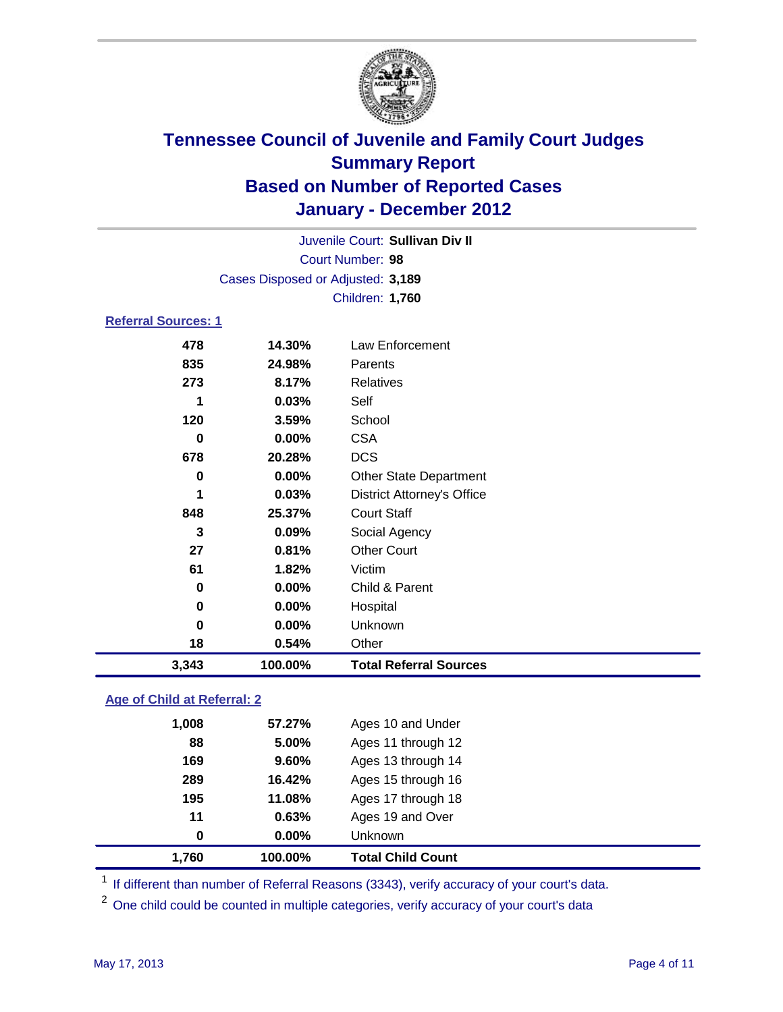

|                            |                                   | Juvenile Court: Sullivan Div II   |  |  |  |
|----------------------------|-----------------------------------|-----------------------------------|--|--|--|
|                            | Court Number: 98                  |                                   |  |  |  |
|                            | Cases Disposed or Adjusted: 3,189 |                                   |  |  |  |
|                            |                                   | Children: 1,760                   |  |  |  |
| <b>Referral Sources: 1</b> |                                   |                                   |  |  |  |
| 478                        | 14.30%                            | Law Enforcement                   |  |  |  |
| 835                        | 24.98%                            | Parents                           |  |  |  |
| 273                        | 8.17%                             | <b>Relatives</b>                  |  |  |  |
| 1                          | 0.03%                             | Self                              |  |  |  |
| 120                        | 3.59%                             | School                            |  |  |  |
| 0                          | 0.00%                             | <b>CSA</b>                        |  |  |  |
| 678                        | 20.28%                            | <b>DCS</b>                        |  |  |  |
| 0                          | $0.00\%$                          | <b>Other State Department</b>     |  |  |  |
| 1                          | 0.03%                             | <b>District Attorney's Office</b> |  |  |  |
| 848                        | 25.37%                            | <b>Court Staff</b>                |  |  |  |
| 3                          | $0.09\%$                          | Social Agency                     |  |  |  |
| 27                         | 0.81%                             | <b>Other Court</b>                |  |  |  |
| 61                         | 1.82%                             | Victim                            |  |  |  |
| 0                          | $0.00\%$                          | Child & Parent                    |  |  |  |
| 0                          | 0.00%                             | Hospital                          |  |  |  |

### **Age of Child at Referral: 2**

| 1.760 | 100.00%  | <b>Total Child Count</b> |
|-------|----------|--------------------------|
| 0     | $0.00\%$ | <b>Unknown</b>           |
| 11    | 0.63%    | Ages 19 and Over         |
| 195   | 11.08%   | Ages 17 through 18       |
| 289   | 16.42%   | Ages 15 through 16       |
| 169   | 9.60%    | Ages 13 through 14       |
| 88    | 5.00%    | Ages 11 through 12       |
| 1,008 | 57.27%   | Ages 10 and Under        |
|       |          |                          |

<sup>1</sup> If different than number of Referral Reasons (3343), verify accuracy of your court's data.

<sup>2</sup> One child could be counted in multiple categories, verify accuracy of your court's data

**0 0.00%** Unknown **18 0.54%** Other

**3,343 100.00% Total Referral Sources**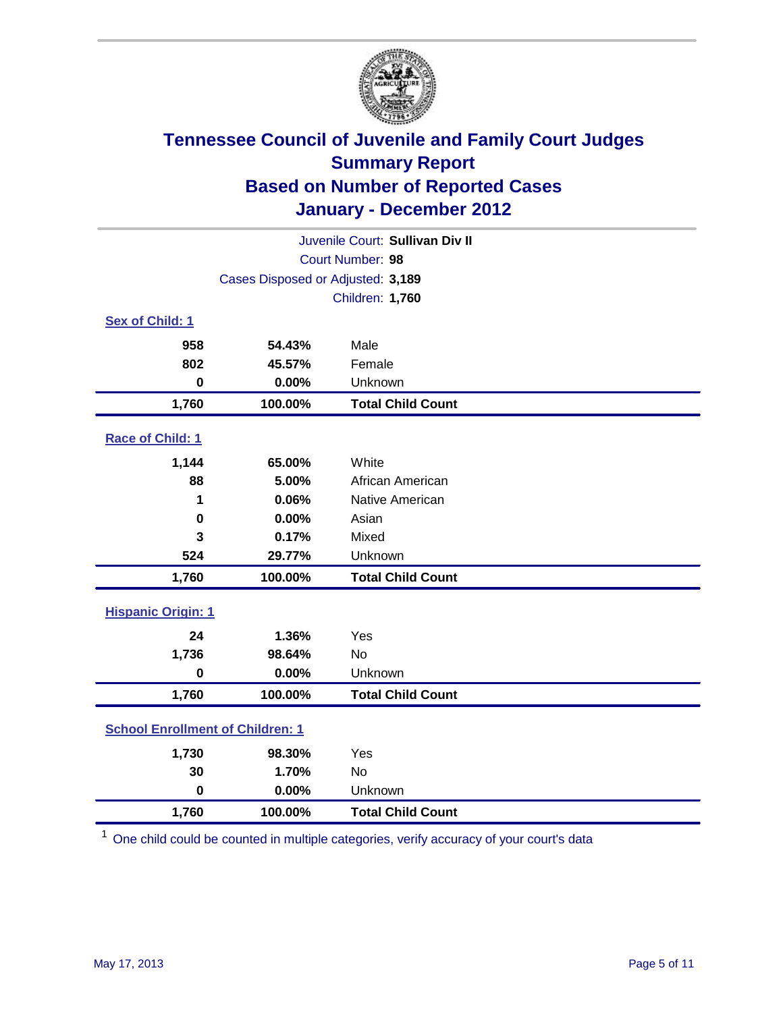

| Juvenile Court: Sullivan Div II         |                                   |                          |  |  |
|-----------------------------------------|-----------------------------------|--------------------------|--|--|
|                                         | Court Number: 98                  |                          |  |  |
|                                         | Cases Disposed or Adjusted: 3,189 |                          |  |  |
|                                         |                                   | <b>Children: 1,760</b>   |  |  |
| Sex of Child: 1                         |                                   |                          |  |  |
| 958                                     | 54.43%                            | Male                     |  |  |
| 802                                     | 45.57%                            | Female                   |  |  |
| $\bf{0}$                                | 0.00%                             | Unknown                  |  |  |
| 1,760                                   | 100.00%                           | <b>Total Child Count</b> |  |  |
| Race of Child: 1                        |                                   |                          |  |  |
| 1,144                                   | 65.00%                            | White                    |  |  |
| 88                                      | 5.00%                             | African American         |  |  |
| 1                                       | 0.06%                             | Native American          |  |  |
| 0                                       | 0.00%                             | Asian                    |  |  |
| 3                                       | 0.17%                             | Mixed                    |  |  |
| 524                                     | 29.77%                            | Unknown                  |  |  |
| 1,760                                   | 100.00%                           | <b>Total Child Count</b> |  |  |
| <b>Hispanic Origin: 1</b>               |                                   |                          |  |  |
| 24                                      | 1.36%                             | Yes                      |  |  |
| 1,736                                   | 98.64%                            | No                       |  |  |
| $\bf{0}$                                | 0.00%                             | Unknown                  |  |  |
| 1,760                                   | 100.00%                           | <b>Total Child Count</b> |  |  |
| <b>School Enrollment of Children: 1</b> |                                   |                          |  |  |
| 1,730                                   | 98.30%                            | Yes                      |  |  |
| 30                                      | 1.70%                             | <b>No</b>                |  |  |
| $\mathbf 0$                             | 0.00%                             | Unknown                  |  |  |
| 1,760                                   | 100.00%                           | <b>Total Child Count</b> |  |  |

<sup>1</sup> One child could be counted in multiple categories, verify accuracy of your court's data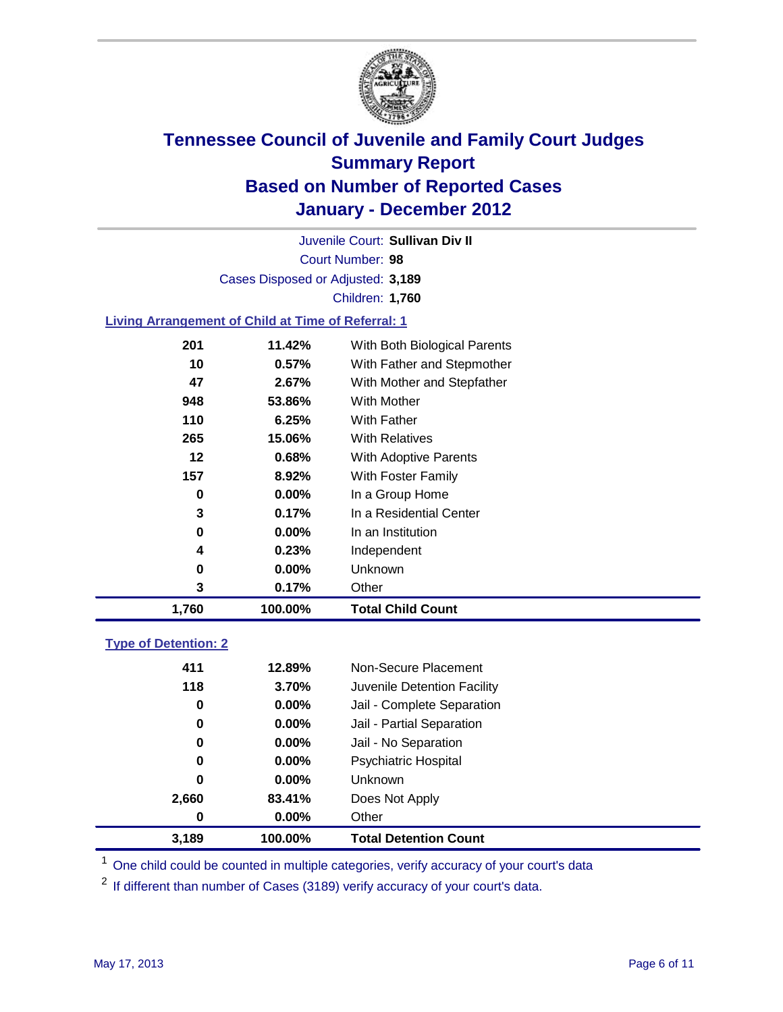

Court Number: **98** Juvenile Court: **Sullivan Div II** Cases Disposed or Adjusted: **3,189** Children: **1,760**

### **Living Arrangement of Child at Time of Referral: 1**

| 1,760 | 100.00%  | Total Child Count            |
|-------|----------|------------------------------|
| 3     | 0.17%    | Other                        |
| 0     | $0.00\%$ | Unknown                      |
| 4     | 0.23%    | Independent                  |
| 0     | $0.00\%$ | In an Institution            |
| 3     | 0.17%    | In a Residential Center      |
| 0     | $0.00\%$ | In a Group Home              |
| 157   | 8.92%    | With Foster Family           |
| 12    | 0.68%    | <b>With Adoptive Parents</b> |
| 265   | 15.06%   | <b>With Relatives</b>        |
| 110   | 6.25%    | <b>With Father</b>           |
| 948   | 53.86%   | With Mother                  |
| 47    | 2.67%    | With Mother and Stepfather   |
| 10    | 0.57%    | With Father and Stepmother   |
| 201   | 11.42%   | With Both Biological Parents |
|       |          |                              |

### **Type of Detention: 2**

| 3,189 | 100.00%  | <b>Total Detention Count</b> |
|-------|----------|------------------------------|
| 0     | $0.00\%$ | Other                        |
| 2,660 | 83.41%   | Does Not Apply               |
| 0     | $0.00\%$ | Unknown                      |
| 0     | $0.00\%$ | <b>Psychiatric Hospital</b>  |
| 0     | 0.00%    | Jail - No Separation         |
| 0     | $0.00\%$ | Jail - Partial Separation    |
| 0     | 0.00%    | Jail - Complete Separation   |
| 118   | 3.70%    | Juvenile Detention Facility  |
| 411   | 12.89%   | Non-Secure Placement         |
|       |          |                              |

<sup>1</sup> One child could be counted in multiple categories, verify accuracy of your court's data

<sup>2</sup> If different than number of Cases (3189) verify accuracy of your court's data.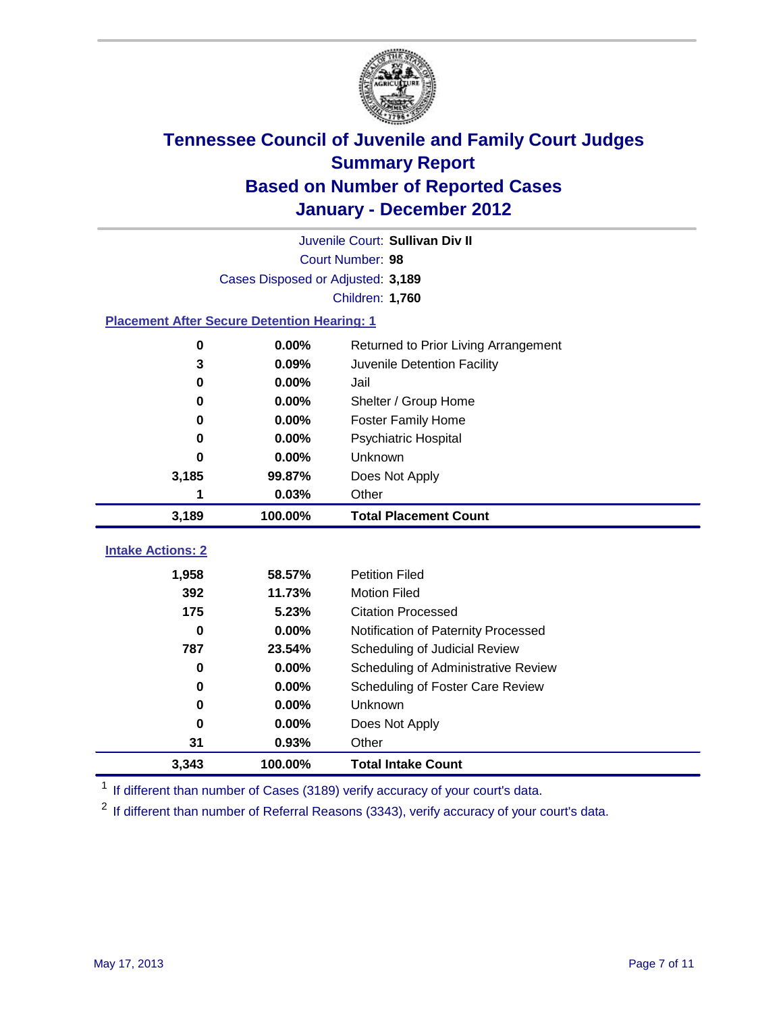

| Juvenile Court: Sullivan Div II                    |                                   |                                      |  |  |  |
|----------------------------------------------------|-----------------------------------|--------------------------------------|--|--|--|
|                                                    | Court Number: 98                  |                                      |  |  |  |
|                                                    | Cases Disposed or Adjusted: 3,189 |                                      |  |  |  |
|                                                    |                                   | Children: 1,760                      |  |  |  |
| <b>Placement After Secure Detention Hearing: 1</b> |                                   |                                      |  |  |  |
| 0                                                  | 0.00%                             | Returned to Prior Living Arrangement |  |  |  |
| 3                                                  | 0.09%                             | Juvenile Detention Facility          |  |  |  |
| 0                                                  | 0.00%                             | Jail                                 |  |  |  |
| 0                                                  | 0.00%                             | Shelter / Group Home                 |  |  |  |
| 0                                                  | 0.00%                             | <b>Foster Family Home</b>            |  |  |  |
| $\bf{0}$                                           | 0.00%                             | <b>Psychiatric Hospital</b>          |  |  |  |
| 0                                                  | 0.00%                             | Unknown                              |  |  |  |
| 3,185                                              | 99.87%                            | Does Not Apply                       |  |  |  |
| 1                                                  | 0.03%                             | Other                                |  |  |  |
| 3,189                                              | 100.00%                           | <b>Total Placement Count</b>         |  |  |  |
| <b>Intake Actions: 2</b>                           |                                   |                                      |  |  |  |
|                                                    |                                   |                                      |  |  |  |
| 1,958                                              | 58.57%                            | <b>Petition Filed</b>                |  |  |  |
| 392                                                | 11.73%                            | <b>Motion Filed</b>                  |  |  |  |
| 175                                                | 5.23%                             | <b>Citation Processed</b>            |  |  |  |
| $\bf{0}$                                           | 0.00%                             | Notification of Paternity Processed  |  |  |  |
| 787                                                | 23.54%                            | Scheduling of Judicial Review        |  |  |  |
| $\bf{0}$                                           | 0.00%                             | Scheduling of Administrative Review  |  |  |  |
| 0                                                  | 0.00%                             | Scheduling of Foster Care Review     |  |  |  |
|                                                    |                                   |                                      |  |  |  |
| $\bf{0}$                                           | 0.00%                             | Unknown                              |  |  |  |
| $\bf{0}$                                           | 0.00%                             | Does Not Apply                       |  |  |  |
| 31<br>3,343                                        | 0.93%<br>100.00%                  | Other<br><b>Total Intake Count</b>   |  |  |  |

<sup>1</sup> If different than number of Cases (3189) verify accuracy of your court's data.

<sup>2</sup> If different than number of Referral Reasons (3343), verify accuracy of your court's data.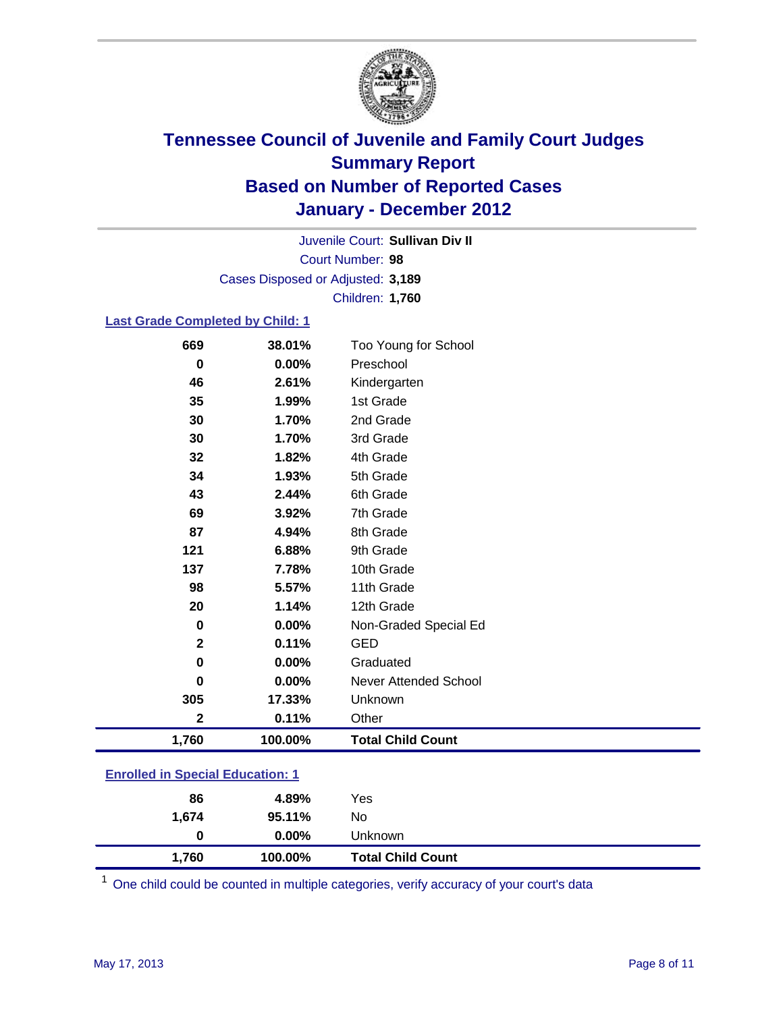

Court Number: **98** Juvenile Court: **Sullivan Div II** Cases Disposed or Adjusted: **3,189** Children: **1,760**

### **Last Grade Completed by Child: 1**

| 669                                     | 38.01%  | Too Young for School         |  |
|-----------------------------------------|---------|------------------------------|--|
| 0                                       | 0.00%   | Preschool                    |  |
| 46                                      | 2.61%   | Kindergarten                 |  |
| 35                                      | 1.99%   | 1st Grade                    |  |
| 30                                      | 1.70%   | 2nd Grade                    |  |
| 30                                      | 1.70%   | 3rd Grade                    |  |
| 32                                      | 1.82%   | 4th Grade                    |  |
| 34                                      | 1.93%   | 5th Grade                    |  |
| 43                                      | 2.44%   | 6th Grade                    |  |
| 69                                      | 3.92%   | 7th Grade                    |  |
| 87                                      | 4.94%   | 8th Grade                    |  |
| 121                                     | 6.88%   | 9th Grade                    |  |
| 137                                     | 7.78%   | 10th Grade                   |  |
| 98                                      | 5.57%   | 11th Grade                   |  |
| 20                                      | 1.14%   | 12th Grade                   |  |
| 0                                       | 0.00%   | Non-Graded Special Ed        |  |
| $\mathbf{2}$                            | 0.11%   | <b>GED</b>                   |  |
| $\bf{0}$                                | 0.00%   | Graduated                    |  |
| $\bf{0}$                                | 0.00%   | <b>Never Attended School</b> |  |
| 305                                     | 17.33%  | Unknown                      |  |
| $\mathbf{2}$                            | 0.11%   | Other                        |  |
| 1,760                                   | 100.00% | <b>Total Child Count</b>     |  |
| <b>Enrolled in Special Education: 1</b> |         |                              |  |

| 1,760                                 | 100.00%  | <b>Total Child Count</b> |  |  |
|---------------------------------------|----------|--------------------------|--|--|
| 0                                     | $0.00\%$ | Unknown                  |  |  |
| 1.674                                 | 95.11%   | No                       |  |  |
| 86                                    | 4.89%    | Yes                      |  |  |
| <u>Emonda in opecial Education. T</u> |          |                          |  |  |

One child could be counted in multiple categories, verify accuracy of your court's data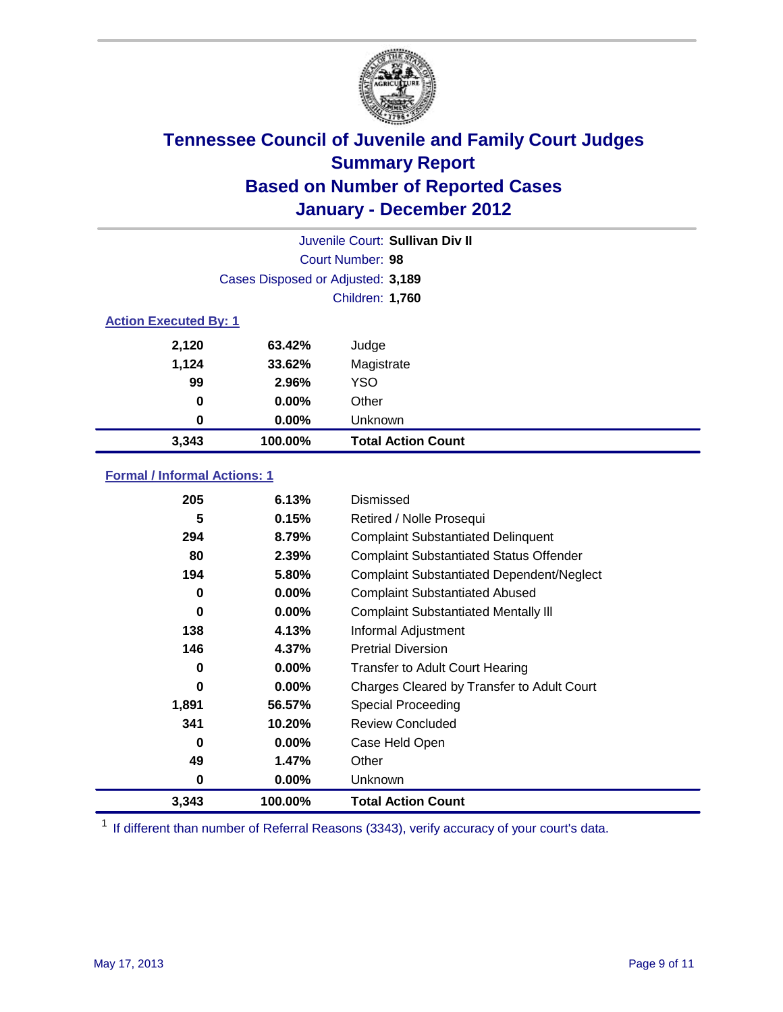

| Juvenile Court: Sullivan Div II |                                   |                           |  |  |  |
|---------------------------------|-----------------------------------|---------------------------|--|--|--|
|                                 | Court Number: 98                  |                           |  |  |  |
|                                 | Cases Disposed or Adjusted: 3,189 |                           |  |  |  |
|                                 | Children: 1,760                   |                           |  |  |  |
| <b>Action Executed By: 1</b>    |                                   |                           |  |  |  |
| 2,120                           | 63.42%                            | Judge                     |  |  |  |
| 1,124                           | 33.62%                            | Magistrate                |  |  |  |
| 99                              | 2.96%                             | <b>YSO</b>                |  |  |  |
| 0                               | $0.00\%$                          | Other                     |  |  |  |
| 0                               | 0.00%                             | Unknown                   |  |  |  |
| 3,343                           | 100.00%                           | <b>Total Action Count</b> |  |  |  |

### **Formal / Informal Actions: 1**

| 205   | 6.13%    | Dismissed                                        |
|-------|----------|--------------------------------------------------|
| 5     | 0.15%    | Retired / Nolle Prosequi                         |
| 294   | 8.79%    | <b>Complaint Substantiated Delinquent</b>        |
| 80    | 2.39%    | <b>Complaint Substantiated Status Offender</b>   |
| 194   | 5.80%    | <b>Complaint Substantiated Dependent/Neglect</b> |
| 0     | $0.00\%$ | <b>Complaint Substantiated Abused</b>            |
| 0     | $0.00\%$ | <b>Complaint Substantiated Mentally III</b>      |
| 138   | 4.13%    | Informal Adjustment                              |
| 146   | 4.37%    | <b>Pretrial Diversion</b>                        |
| 0     | $0.00\%$ | <b>Transfer to Adult Court Hearing</b>           |
| 0     | $0.00\%$ | Charges Cleared by Transfer to Adult Court       |
| 1,891 | 56.57%   | Special Proceeding                               |
| 341   | 10.20%   | <b>Review Concluded</b>                          |
| 0     | $0.00\%$ | Case Held Open                                   |
| 49    | 1.47%    | Other                                            |
| 0     | $0.00\%$ | Unknown                                          |
| 3,343 | 100.00%  | <b>Total Action Count</b>                        |

<sup>1</sup> If different than number of Referral Reasons (3343), verify accuracy of your court's data.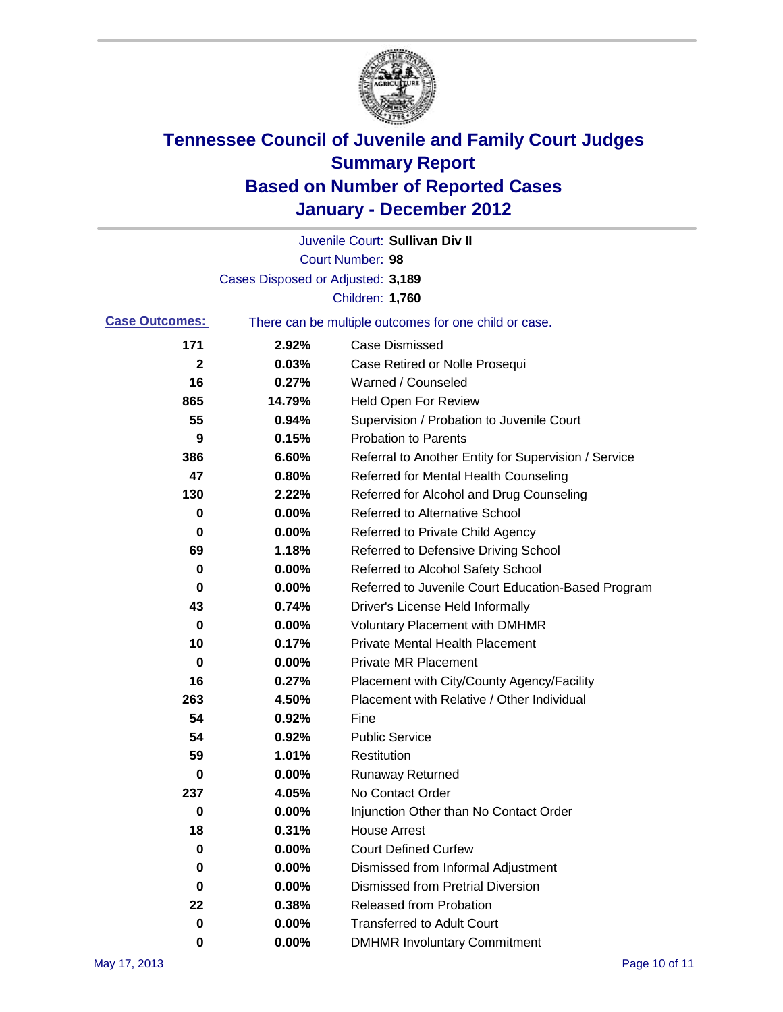

|                       |                                   | Juvenile Court: Sullivan Div II                       |
|-----------------------|-----------------------------------|-------------------------------------------------------|
|                       |                                   | Court Number: 98                                      |
|                       | Cases Disposed or Adjusted: 3,189 |                                                       |
|                       |                                   | Children: 1,760                                       |
| <b>Case Outcomes:</b> |                                   | There can be multiple outcomes for one child or case. |
| 171                   | 2.92%                             | <b>Case Dismissed</b>                                 |
| $\mathbf 2$           | 0.03%                             | Case Retired or Nolle Prosequi                        |
| 16                    | 0.27%                             | Warned / Counseled                                    |
| 865                   | 14.79%                            | <b>Held Open For Review</b>                           |
| 55                    | 0.94%                             | Supervision / Probation to Juvenile Court             |
| 9                     | 0.15%                             | <b>Probation to Parents</b>                           |
| 386                   | 6.60%                             | Referral to Another Entity for Supervision / Service  |
| 47                    | 0.80%                             | Referred for Mental Health Counseling                 |
| 130                   | 2.22%                             | Referred for Alcohol and Drug Counseling              |
| 0                     | 0.00%                             | <b>Referred to Alternative School</b>                 |
| 0                     | 0.00%                             | Referred to Private Child Agency                      |
| 69                    | 1.18%                             | Referred to Defensive Driving School                  |
| 0                     | 0.00%                             | Referred to Alcohol Safety School                     |
| 0                     | 0.00%                             | Referred to Juvenile Court Education-Based Program    |
| 43                    | 0.74%                             | Driver's License Held Informally                      |
| 0                     | 0.00%                             | <b>Voluntary Placement with DMHMR</b>                 |
| 10                    | 0.17%                             | <b>Private Mental Health Placement</b>                |
| 0                     | 0.00%                             | <b>Private MR Placement</b>                           |
| 16                    | 0.27%                             | Placement with City/County Agency/Facility            |
| 263                   | 4.50%                             | Placement with Relative / Other Individual            |
| 54                    | 0.92%                             | Fine                                                  |
| 54                    | 0.92%                             | <b>Public Service</b>                                 |
| 59                    | 1.01%                             | Restitution                                           |
| 0                     | 0.00%                             | <b>Runaway Returned</b>                               |
| 237                   | 4.05%                             | No Contact Order                                      |
| $\boldsymbol{0}$      | 0.00%                             | Injunction Other than No Contact Order                |
| 18                    | 0.31%                             | <b>House Arrest</b>                                   |
| 0                     | 0.00%                             | <b>Court Defined Curfew</b>                           |
| 0                     | 0.00%                             | Dismissed from Informal Adjustment                    |
| 0                     | 0.00%                             | <b>Dismissed from Pretrial Diversion</b>              |
| 22                    | 0.38%                             | Released from Probation                               |
| 0                     | 0.00%                             | <b>Transferred to Adult Court</b>                     |
| 0                     | $0.00\%$                          | <b>DMHMR Involuntary Commitment</b>                   |